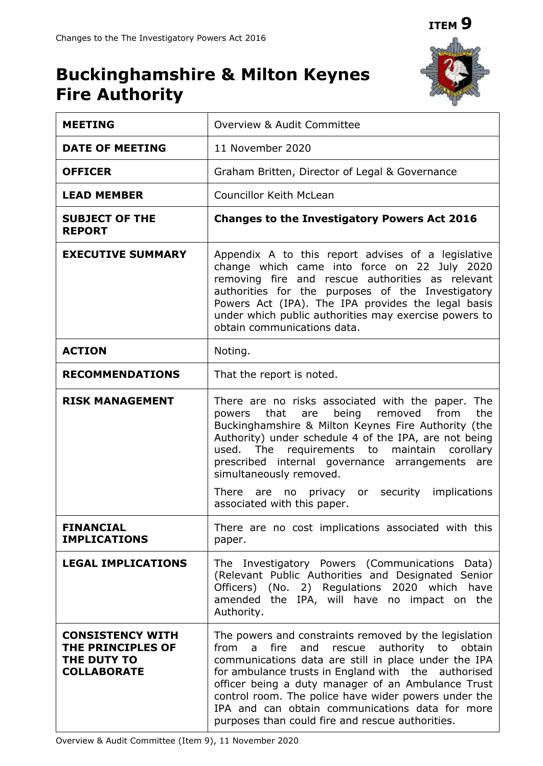# **ITEM 9**

# **Buckinghamshire & Milton Keynes Fire Authority**

| <b>MEETING</b>                                                                    | Overview & Audit Committee                                                                                                                                                                                                                                                                                                                                                                                                                          |
|-----------------------------------------------------------------------------------|-----------------------------------------------------------------------------------------------------------------------------------------------------------------------------------------------------------------------------------------------------------------------------------------------------------------------------------------------------------------------------------------------------------------------------------------------------|
| <b>DATE OF MEETING</b>                                                            | 11 November 2020                                                                                                                                                                                                                                                                                                                                                                                                                                    |
| <b>OFFICER</b>                                                                    | Graham Britten, Director of Legal & Governance                                                                                                                                                                                                                                                                                                                                                                                                      |
| <b>LEAD MEMBER</b>                                                                | <b>Councillor Keith McLean</b>                                                                                                                                                                                                                                                                                                                                                                                                                      |
| <b>SUBJECT OF THE</b><br><b>REPORT</b>                                            | <b>Changes to the Investigatory Powers Act 2016</b>                                                                                                                                                                                                                                                                                                                                                                                                 |
| <b>EXECUTIVE SUMMARY</b>                                                          | Appendix A to this report advises of a legislative<br>change which came into force on 22 July 2020<br>removing fire and rescue authorities as relevant<br>authorities for the purposes of the Investigatory<br>Powers Act (IPA). The IPA provides the legal basis<br>under which public authorities may exercise powers to<br>obtain communications data.                                                                                           |
| <b>ACTION</b>                                                                     | Noting.                                                                                                                                                                                                                                                                                                                                                                                                                                             |
| <b>RECOMMENDATIONS</b>                                                            | That the report is noted.                                                                                                                                                                                                                                                                                                                                                                                                                           |
| <b>RISK MANAGEMENT</b>                                                            | There are no risks associated with the paper. The<br>powers that are<br>being removed<br>the<br>from<br>Buckinghamshire & Milton Keynes Fire Authority (the<br>Authority) under schedule 4 of the IPA, are not being<br>used. The<br>requirements to maintain<br>corollary<br>prescribed internal governance arrangements are<br>simultaneously removed.<br>There are no privacy or security implications                                           |
| <b>FINANCIAL</b><br><b>IMPLICATIONS</b>                                           | associated with this paper.<br>There are no cost implications associated with this<br>paper.                                                                                                                                                                                                                                                                                                                                                        |
| <b>LEGAL IMPLICATIONS</b>                                                         | The Investigatory Powers (Communications<br>Data)<br>(Relevant Public Authorities and Designated Senior<br>Officers) (No. 2) Regulations 2020 which<br>have<br>amended the IPA, will have no impact on the<br>Authority.                                                                                                                                                                                                                            |
| <b>CONSISTENCY WITH</b><br>THE PRINCIPLES OF<br>THE DUTY TO<br><b>COLLABORATE</b> | The powers and constraints removed by the legislation<br>rescue authority to obtain<br>from<br>and<br>fire<br>a<br>communications data are still in place under the IPA<br>for ambulance trusts in England with the authorised<br>officer being a duty manager of an Ambulance Trust<br>control room. The police have wider powers under the<br>IPA and can obtain communications data for more<br>purposes than could fire and rescue authorities. |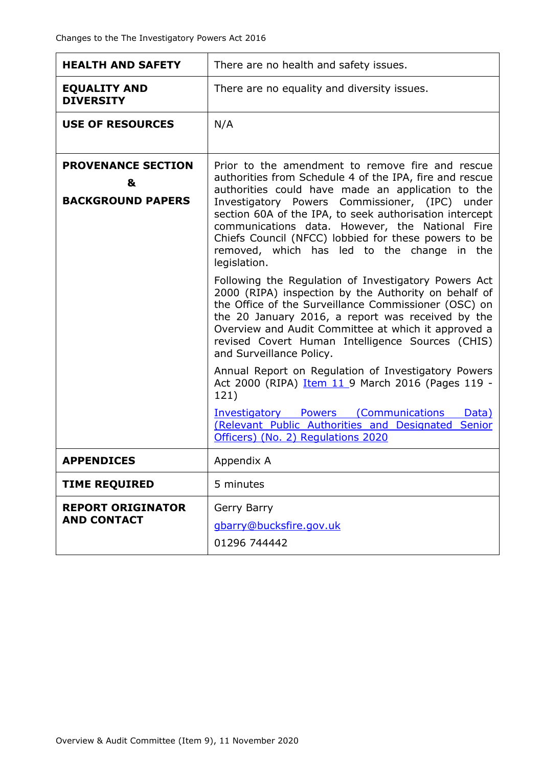| <b>HEALTH AND SAFETY</b>                                   | There are no health and safety issues.                                                                                                                                                                                                                                                                                                                                                                                                                  |
|------------------------------------------------------------|---------------------------------------------------------------------------------------------------------------------------------------------------------------------------------------------------------------------------------------------------------------------------------------------------------------------------------------------------------------------------------------------------------------------------------------------------------|
| <b>EQUALITY AND</b><br><b>DIVERSITY</b>                    | There are no equality and diversity issues.                                                                                                                                                                                                                                                                                                                                                                                                             |
| <b>USE OF RESOURCES</b>                                    | N/A                                                                                                                                                                                                                                                                                                                                                                                                                                                     |
| <b>PROVENANCE SECTION</b><br>&<br><b>BACKGROUND PAPERS</b> | Prior to the amendment to remove fire and rescue<br>authorities from Schedule 4 of the IPA, fire and rescue<br>authorities could have made an application to the<br>Investigatory Powers Commissioner, (IPC) under<br>section 60A of the IPA, to seek authorisation intercept<br>communications data. However, the National Fire<br>Chiefs Council (NFCC) lobbied for these powers to be<br>removed, which has led to the change in the<br>legislation. |
|                                                            | Following the Regulation of Investigatory Powers Act<br>2000 (RIPA) inspection by the Authority on behalf of<br>the Office of the Surveillance Commissioner (OSC) on<br>the 20 January 2016, a report was received by the<br>Overview and Audit Committee at which it approved a<br>revised Covert Human Intelligence Sources (CHIS)<br>and Surveillance Policy.                                                                                        |
|                                                            | Annual Report on Regulation of Investigatory Powers<br>Act 2000 (RIPA) Item 11 9 March 2016 (Pages 119 -<br>121)                                                                                                                                                                                                                                                                                                                                        |
|                                                            | <b>Investigatory Powers (Communications</b><br>Data)<br>(Relevant Public Authorities and Designated Senior<br>Officers) (No. 2) Regulations 2020                                                                                                                                                                                                                                                                                                        |
| <b>APPENDICES</b>                                          | Appendix A                                                                                                                                                                                                                                                                                                                                                                                                                                              |
| <b>TIME REQUIRED</b>                                       | 5 minutes                                                                                                                                                                                                                                                                                                                                                                                                                                               |
| <b>REPORT ORIGINATOR</b><br><b>AND CONTACT</b>             | Gerry Barry<br>gbarry@bucksfire.gov.uk<br>01296 744442                                                                                                                                                                                                                                                                                                                                                                                                  |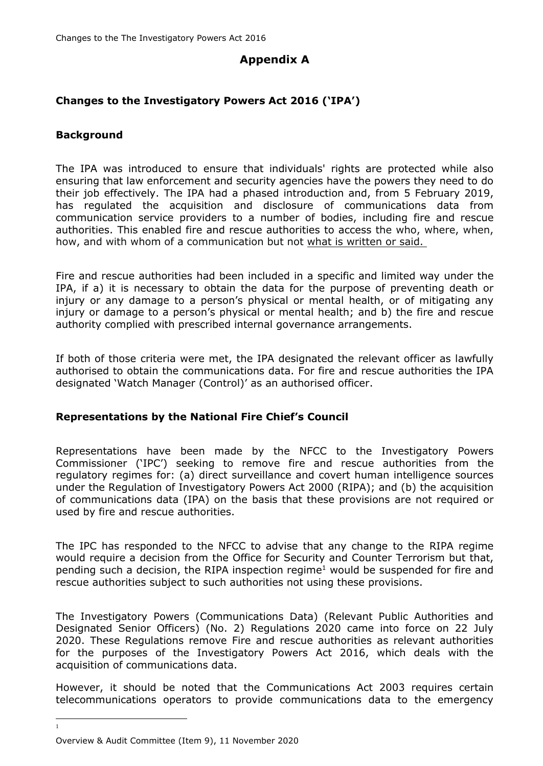# **Appendix A**

## **Changes to the Investigatory Powers Act 2016 ('IPA')**

### **Background**

The IPA was introduced to ensure that individuals' rights are protected while also ensuring that law enforcement and security agencies have the powers they need to do their job effectively. The IPA had a phased introduction and, from 5 February 2019, has regulated the acquisition and disclosure of communications data from communication service providers to a number of bodies, including fire and rescue authorities. This enabled fire and rescue authorities to access the who, where, when, how, and with whom of a communication but not what is written or said.

Fire and rescue authorities had been included in a specific and limited way under the IPA, if a) it is necessary to obtain the data for the purpose of preventing death or injury or any damage to a person's physical or mental health, or of mitigating any injury or damage to a person's physical or mental health; and b) the fire and rescue authority complied with prescribed internal governance arrangements.

If both of those criteria were met, the IPA designated the relevant officer as lawfully authorised to obtain the communications data. For fire and rescue authorities the IPA designated 'Watch Manager (Control)' as an authorised officer.

#### **Representations by the National Fire Chief's Council**

Representations have been made by the NFCC to the Investigatory Powers Commissioner ('IPC') seeking to remove fire and rescue authorities from the regulatory regimes for: (a) direct surveillance and covert human intelligence sources under the Regulation of Investigatory Powers Act 2000 (RIPA); and (b) the acquisition of communications data (IPA) on the basis that these provisions are not required or used by fire and rescue authorities.

The IPC has responded to the NFCC to advise that any change to the RIPA regime would require a decision from the Office for Security and Counter Terrorism but that, pending such a decision, the RIPA inspection regime<sup>1</sup> would be suspended for fire and rescue authorities subject to such authorities not using these provisions.

The Investigatory Powers (Communications Data) (Relevant Public Authorities and Designated Senior Officers) (No. 2) Regulations 2020 came into force on 22 July 2020. These Regulations remove Fire and rescue authorities as relevant authorities for the purposes of the Investigatory Powers Act 2016, which deals with the acquisition of communications data.

However, it should be noted that the Communications Act 2003 requires certain telecommunications operators to provide communications data to the emergency

1

Overview & Audit Committee (Item 9), 11 November 2020